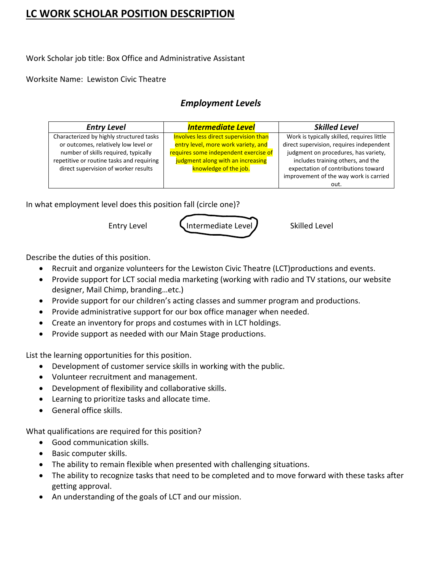## **LC WORK SCHOLAR POSITION DESCRIPTION**

Work Scholar job title: Box Office and Administrative Assistant

Worksite Name: Lewiston Civic Theatre

## *Employment Levels*

| <b>Entry Level</b>                                                                                                                                                    | <b>Intermediate Level</b>                                                                                                                                  | <b>Skilled Level</b>                                                                                                                                                |
|-----------------------------------------------------------------------------------------------------------------------------------------------------------------------|------------------------------------------------------------------------------------------------------------------------------------------------------------|---------------------------------------------------------------------------------------------------------------------------------------------------------------------|
| Characterized by highly structured tasks<br>or outcomes, relatively low level or<br>number of skills required, typically<br>repetitive or routine tasks and requiring | Involves less direct supervision than<br>entry level, more work variety, and<br>requires some independent exercise of<br>judgment along with an increasing | Work is typically skilled, requires little<br>direct supervision, requires independent<br>judgment on procedures, has variety,<br>includes training others, and the |
| direct supervision of worker results                                                                                                                                  | knowledge of the job.                                                                                                                                      | expectation of contributions toward<br>improvement of the way work is carried<br>out.                                                                               |

In what employment level does this position fall (circle one)?

Entry Level **Littler Containediate Level Skilled Level** 

Describe the duties of this position.

- Recruit and organize volunteers for the Lewiston Civic Theatre (LCT)productions and events.
- Provide support for LCT social media marketing (working with radio and TV stations, our website designer, Mail Chimp, branding…etc.)
- Provide support for our children's acting classes and summer program and productions.
- Provide administrative support for our box office manager when needed.
- Create an inventory for props and costumes with in LCT holdings.
- Provide support as needed with our Main Stage productions.

List the learning opportunities for this position.

- Development of customer service skills in working with the public.
- Volunteer recruitment and management.
- Development of flexibility and collaborative skills.
- Learning to prioritize tasks and allocate time.
- General office skills.

What qualifications are required for this position?

- Good communication skills.
- Basic computer skills.
- The ability to remain flexible when presented with challenging situations.
- The ability to recognize tasks that need to be completed and to move forward with these tasks after getting approval.
- An understanding of the goals of LCT and our mission.